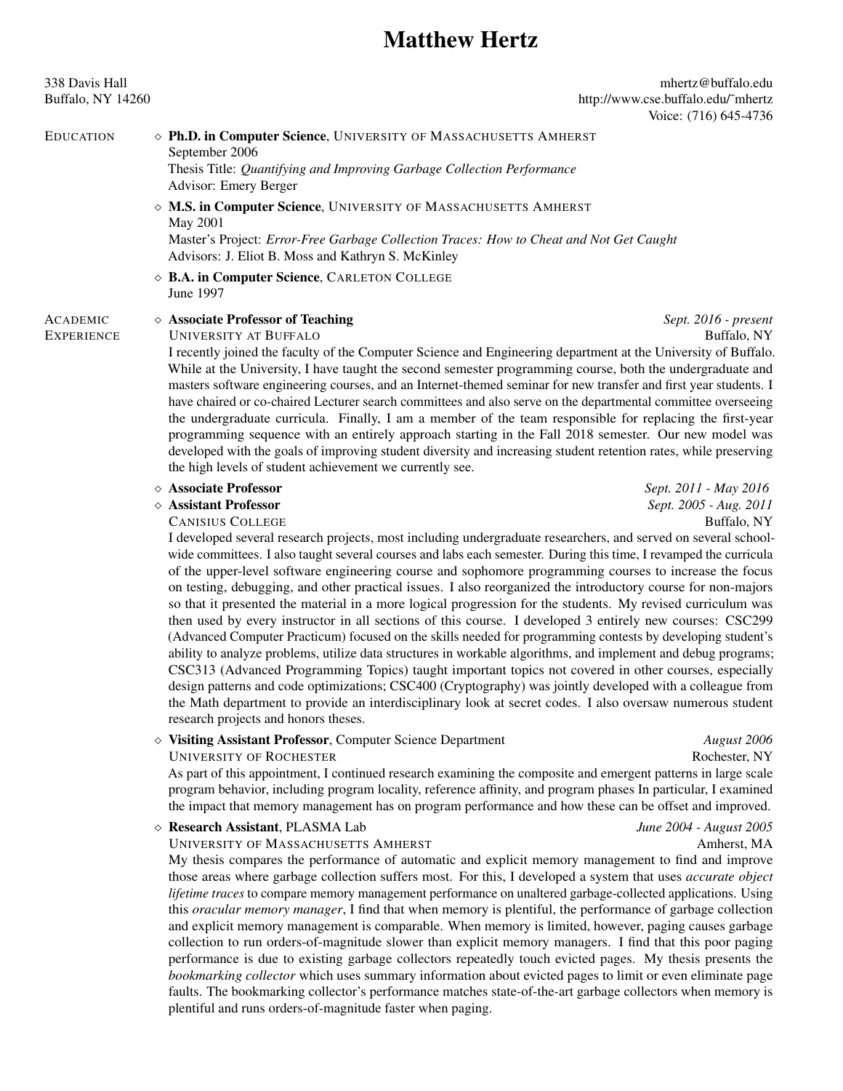### Matthew Hertz

338 Davis Hall mhertz@buffalo.edu Buffalo, NY 14260 http://www.cse.buffalo.edu/~mhertz Voice: (716) 645-4736

EDUCATION **Solution Computer Science**, UNIVERSITY OF MASSACHUSETTS AMHERST September 2006

Thesis Title: *Quantifying and Improving Garbage Collection Performance* Advisor: Emery Berger

 $\Diamond$  M.S. in Computer Science, UNIVERSITY OF MASSACHUSETTS AMHERST May 2001

Master's Project: *Error-Free Garbage Collection Traces: How to Cheat and Not Get Caught* Advisors: J. Eliot B. Moss and Kathryn S. McKinley

⇧ B.A. in Computer Science, CARLETON COLLEGE June 1997

ACADEMIC ⇧ Associate Professor of Teaching *Sept. 2016 - present*

**UNIVERSITY AT BUFFALO** 

I recently joined the faculty of the Computer Science and Engineering department at the University of Buffalo. While at the University, I have taught the second semester programming course, both the undergraduate and masters software engineering courses, and an Internet-themed seminar for new transfer and first year students. I have chaired or co-chaired Lecturer search committees and also serve on the departmental committee overseeing the undergraduate curricula. Finally, I am a member of the team responsible for replacing the first-year programming sequence with an entirely approach starting in the Fall 2018 semester. Our new model was developed with the goals of improving student diversity and increasing student retention rates, while preserving the high levels of student achievement we currently see.

# ⇧ Associate Professor *Sept. 2011 - May 2016*

**CANISIUS COLLEGE** 

I developed several research projects, most including undergraduate researchers, and served on several schoolwide committees. I also taught several courses and labs each semester. During this time, I revamped the curricula of the upper-level software engineering course and sophomore programming courses to increase the focus on testing, debugging, and other practical issues. I also reorganized the introductory course for non-majors so that it presented the material in a more logical progression for the students. My revised curriculum was then used by every instructor in all sections of this course. I developed 3 entirely new courses: CSC299 (Advanced Computer Practicum) focused on the skills needed for programming contests by developing student's ability to analyze problems, utilize data structures in workable algorithms, and implement and debug programs; CSC313 (Advanced Programming Topics) taught important topics not covered in other courses, especially design patterns and code optimizations; CSC400 (Cryptography) was jointly developed with a colleague from the Math department to provide an interdisciplinary look at secret codes. I also oversaw numerous student research projects and honors theses.

⇧ Visiting Assistant Professor, Computer Science Department *August 2006*

UNIVERSITY OF ROCHESTER

As part of this appointment, I continued research examining the composite and emergent patterns in large scale program behavior, including program locality, reference affinity, and program phases In particular, I examined the impact that memory management has on program performance and how these can be offset and improved.

⇧ Research Assistant, PLASMA Lab *June 2004 - August 2005* UNIVERSITY OF MASSACHUSETTS AMHERST

My thesis compares the performance of automatic and explicit memory management to find and improve those areas where garbage collection suffers most. For this, I developed a system that uses *accurate object lifetime traces* to compare memory management performance on unaltered garbage-collected applications. Using this *oracular memory manager*, I find that when memory is plentiful, the performance of garbage collection and explicit memory management is comparable. When memory is limited, however, paging causes garbage collection to run orders-of-magnitude slower than explicit memory managers. I find that this poor paging performance is due to existing garbage collectors repeatedly touch evicted pages. My thesis presents the *bookmarking collector* which uses summary information about evicted pages to limit or even eliminate page faults. The bookmarking collector's performance matches state-of-the-art garbage collectors when memory is plentiful and runs orders-of-magnitude faster when paging.

⇧ Assistant Professor *Sept. 2005 - Aug. 2011*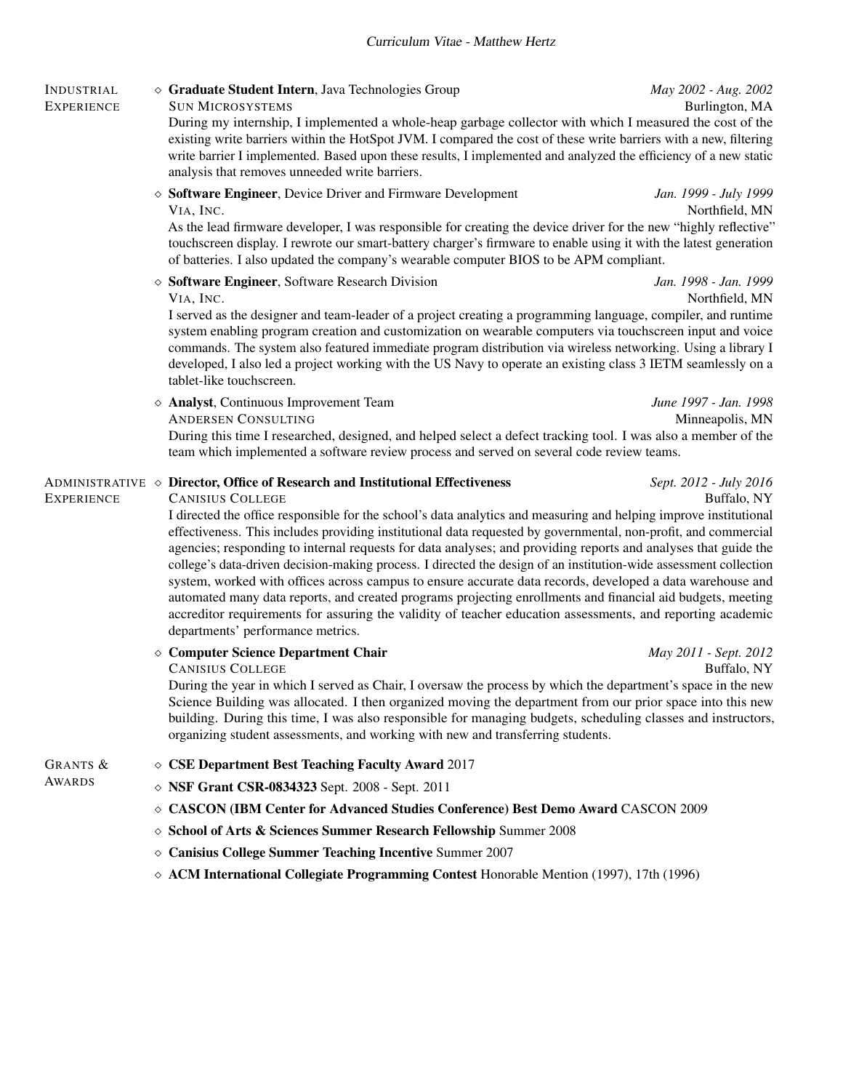# INDUSTRIAL ⇧ Graduate Student Intern, Java Technologies Group *May 2002 - Aug. 2002*

**SUN MICROSYSTEMS** During my internship, I implemented a whole-heap garbage collector with which I measured the cost of the existing write barriers within the HotSpot JVM. I compared the cost of these write barriers with a new, filtering write barrier I implemented. Based upon these results, I implemented and analyzed the efficiency of a new static analysis that removes unneeded write barriers.

⇧ Software Engineer, Device Driver and Firmware Development *Jan. 1999 - July 1999*

As the lead firmware developer, I was responsible for creating the device driver for the new "highly reflective" touchscreen display. I rewrote our smart-battery charger's firmware to enable using it with the latest generation of batteries. I also updated the company's wearable computer BIOS to be APM compliant.

⇧ Software Engineer, Software Research Division *Jan. 1998 - Jan. 1999*

Northfield, MN I served as the designer and team-leader of a project creating a programming language, compiler, and runtime system enabling program creation and customization on wearable computers via touchscreen input and voice commands. The system also featured immediate program distribution via wireless networking. Using a library I developed, I also led a project working with the US Navy to operate an existing class 3 IETM seamlessly on a tablet-like touchscreen.

⇧ Analyst, Continuous Improvement Team *June 1997 - Jan. 1998* ANDERSEN CONSULTING During this time I researched, designed, and helped select a defect tracking tool. I was also a member of the team which implemented a software review process and served on several code review teams.

# ADMINISTRATIVE ◇ **Director, Office of Research and Institutional Effectiveness** *Sept.* 2012 *- July* 2016<br>EXPERIENCE **CANISIUS COLLEGE**

CANISIUS COLLEGE I directed the office responsible for the school's data analytics and measuring and helping improve institutional effectiveness. This includes providing institutional data requested by governmental, non-profit, and commercial agencies; responding to internal requests for data analyses; and providing reports and analyses that guide the college's data-driven decision-making process. I directed the design of an institution-wide assessment collection system, worked with offices across campus to ensure accurate data records, developed a data warehouse and automated many data reports, and created programs projecting enrollments and financial aid budgets, meeting accreditor requirements for assuring the validity of teacher education assessments, and reporting academic departments' performance metrics.

⇧ Computer Science Department Chair *May 2011 - Sept. 2012*

CANISIUS COLLEGE During the year in which I served as Chair, I oversaw the process by which the department's space in the new Science Building was allocated. I then organized moving the department from our prior space into this new building. During this time, I was also responsible for managing budgets, scheduling classes and instructors, organizing student assessments, and working with new and transferring students.

- 
- 
- GRANTS  $\& \diamond$  **CSE Department Best Teaching Faculty Award 2017**<br>AWARDS  $\& \diamond$  **NSE Cropt CSP 0834323** Sont 2008 Sont 2011
	- $\diamond$  NSF Grant CSR-0834323 Sept. 2008 Sept. 2011
	- $\diamond$  CASCON (IBM Center for Advanced Studies Conference) Best Demo Award CASCON 2009
	- ⇧ School of Arts & Sciences Summer Research Fellowship Summer 2008
	- ⇧ Canisius College Summer Teaching Incentive Summer 2007
	- $\Diamond$  ACM International Collegiate Programming Contest Honorable Mention (1997), 17th (1996)

Northfield, MN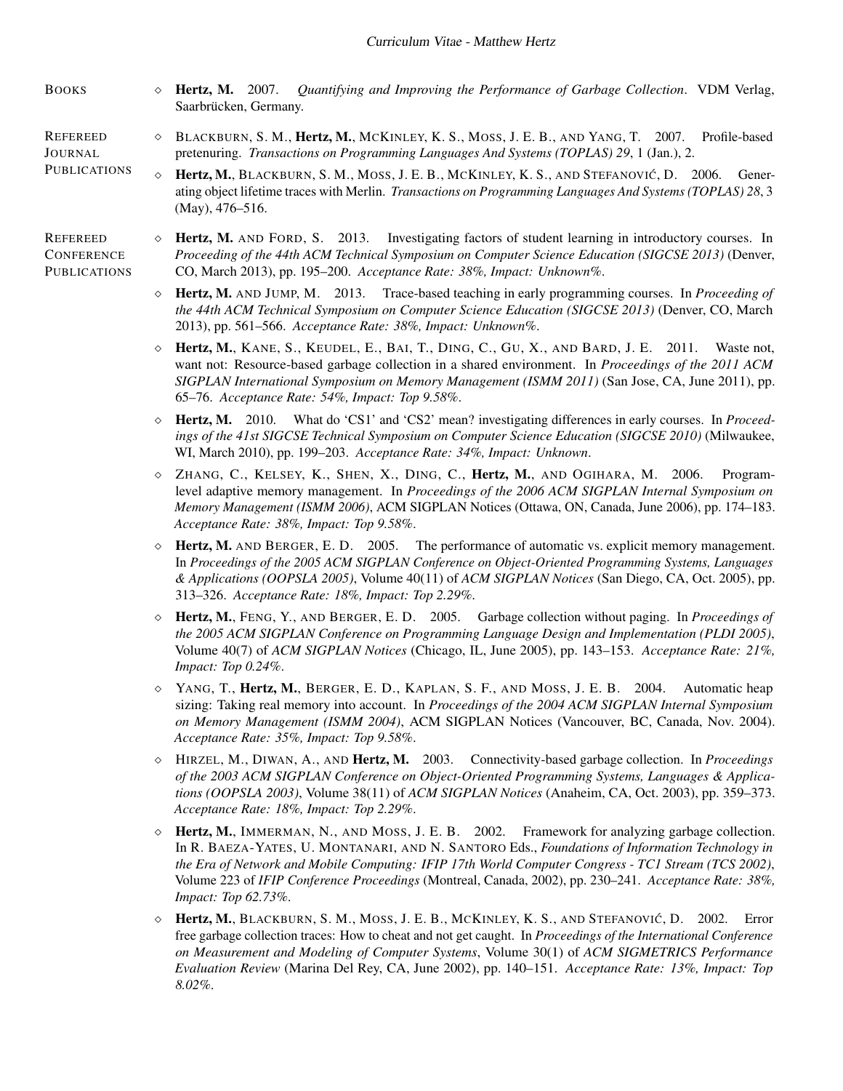- BOOKS ⇧ Hertz, M. 2007. *Quantifying and Improving the Performance of Garbage Collection*. VDM Verlag, Saarbrücken, Germany.
- REFEREED JOURNAL ⇧ BLACKBURN, S. M., Hertz, M., MCKINLEY, K. S., MOSS, J. E. B., AND YANG, T. 2007. Profile-based pretenuring. *Transactions on Programming Languages And Systems (TOPLAS) 29*, 1 (Jan.), 2.
- **PUBLICATIONS**  $\Diamond$  Hertz, M., BLACKBURN, S. M., MOSS, J. E. B., MCKINLEY, K. S., AND STEFANOVIĆ, D. 2006. Generating object lifetime traces with Merlin. *Transactions on Programming Languages And Systems (TOPLAS) 28*, 3 (May), 476–516.
- REFEREED **CONFERENCE** PUBLICATIONS

⇧ Hertz, M. AND FORD, S. 2013. Investigating factors of student learning in introductory courses. In *Proceeding of the 44th ACM Technical Symposium on Computer Science Education (SIGCSE 2013)* (Denver, CO, March 2013), pp. 195–200. *Acceptance Rate: 38%, Impact: Unknown%*.

- ⇧ Hertz, M. AND JUMP, M. 2013. Trace-based teaching in early programming courses. In *Proceeding of the 44th ACM Technical Symposium on Computer Science Education (SIGCSE 2013)* (Denver, CO, March 2013), pp. 561–566. *Acceptance Rate: 38%, Impact: Unknown%*.
- $\Diamond$  Hertz, M., KANE, S., KEUDEL, E., BAI, T., DING, C., GU, X., AND BARD, J. E. 2011. Waste not, want not: Resource-based garbage collection in a shared environment. In *Proceedings of the 2011 ACM SIGPLAN International Symposium on Memory Management (ISMM 2011)* (San Jose, CA, June 2011), pp. 65–76. *Acceptance Rate: 54%, Impact: Top 9.58%*.
- ⇧ Hertz, M. 2010. What do 'CS1' and 'CS2' mean? investigating differences in early courses. In *Proceedings of the 41st SIGCSE Technical Symposium on Computer Science Education (SIGCSE 2010)* (Milwaukee, WI, March 2010), pp. 199–203. *Acceptance Rate: 34%, Impact: Unknown*.
- ⇧ ZHANG, C., KELSEY, K., SHEN, X., DING, C., Hertz, M., AND OGIHARA, M. 2006. Programlevel adaptive memory management. In *Proceedings of the 2006 ACM SIGPLAN Internal Symposium on Memory Management (ISMM 2006)*, ACM SIGPLAN Notices (Ottawa, ON, Canada, June 2006), pp. 174–183. *Acceptance Rate: 38%, Impact: Top 9.58%*.
- $\Diamond$  Hertz, M. AND BERGER, E. D. 2005. The performance of automatic vs. explicit memory management. In *Proceedings of the 2005 ACM SIGPLAN Conference on Object-Oriented Programming Systems, Languages & Applications (OOPSLA 2005)*, Volume 40(11) of *ACM SIGPLAN Notices* (San Diego, CA, Oct. 2005), pp. 313–326. *Acceptance Rate: 18%, Impact: Top 2.29%*.
- ⇧ Hertz, M., FENG, Y., AND BERGER, E. D. 2005. Garbage collection without paging. In *Proceedings of the 2005 ACM SIGPLAN Conference on Programming Language Design and Implementation (PLDI 2005)*, Volume 40(7) of *ACM SIGPLAN Notices* (Chicago, IL, June 2005), pp. 143–153. *Acceptance Rate: 21%, Impact: Top 0.24%*.
- ⇧ YANG, T., Hertz, M., BERGER, E. D., KAPLAN, S. F., AND MOSS, J. E. B. 2004. Automatic heap sizing: Taking real memory into account. In *Proceedings of the 2004 ACM SIGPLAN Internal Symposium on Memory Management (ISMM 2004)*, ACM SIGPLAN Notices (Vancouver, BC, Canada, Nov. 2004). *Acceptance Rate: 35%, Impact: Top 9.58%*.
- ⇧ HIRZEL, M., DIWAN, A., AND Hertz, M. 2003. Connectivity-based garbage collection. In *Proceedings of the 2003 ACM SIGPLAN Conference on Object-Oriented Programming Systems, Languages & Applications (OOPSLA 2003)*, Volume 38(11) of *ACM SIGPLAN Notices* (Anaheim, CA, Oct. 2003), pp. 359–373. *Acceptance Rate: 18%, Impact: Top 2.29%*.
- $\Diamond$  Hertz, M., IMMERMAN, N., AND MOSS, J. E. B. 2002. Framework for analyzing garbage collection. In R. BAEZA-YATES, U. MONTANARI, AND N. SANTORO Eds., *Foundations of Information Technology in the Era of Network and Mobile Computing: IFIP 17th World Computer Congress - TC1 Stream (TCS 2002)*, Volume 223 of *IFIP Conference Proceedings* (Montreal, Canada, 2002), pp. 230–241. *Acceptance Rate: 38%, Impact: Top 62.73%*.
- ⇧ Hertz, M., BLACKBURN, S. M., MOSS, J. E. B., MCKINLEY, K. S., AND STEFANOVIC´, D. 2002. Error free garbage collection traces: How to cheat and not get caught. In *Proceedings of the International Conference on Measurement and Modeling of Computer Systems*, Volume 30(1) of *ACM SIGMETRICS Performance Evaluation Review* (Marina Del Rey, CA, June 2002), pp. 140–151. *Acceptance Rate: 13%, Impact: Top 8.02%*.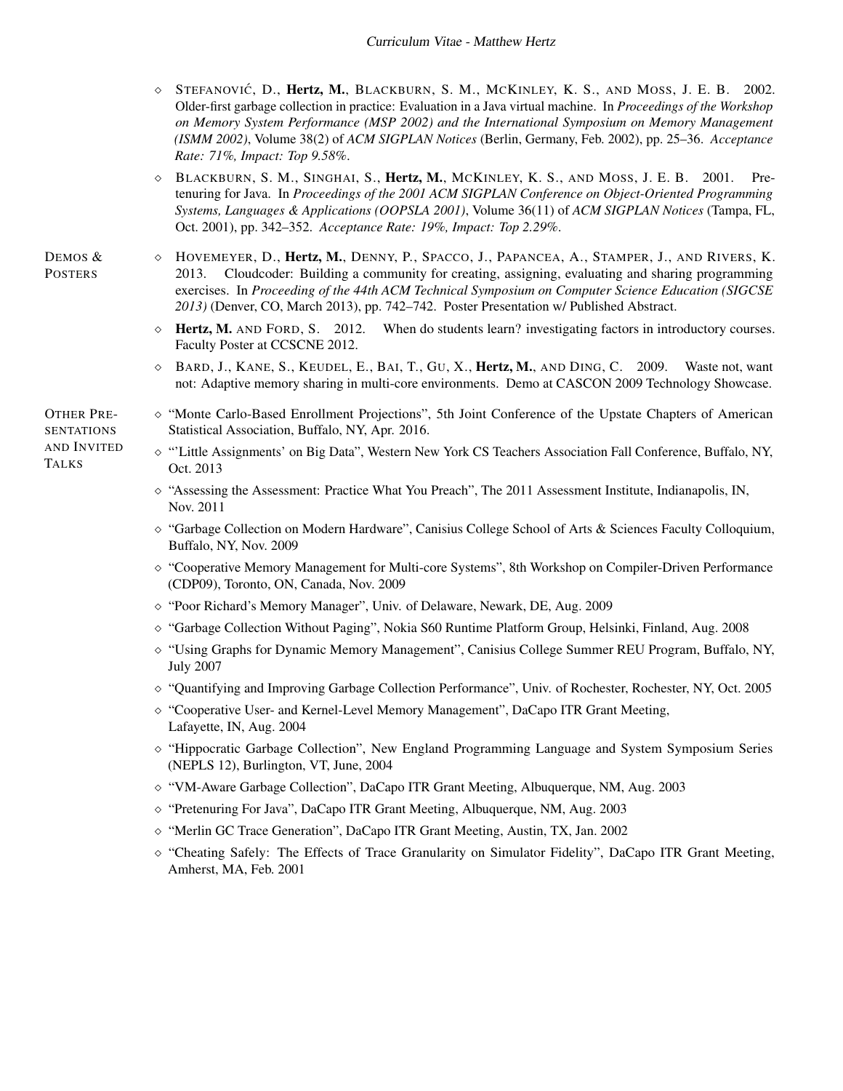- ⇧ STEFANOVIC´, D., Hertz, M., BLACKBURN, S. M., MCKINLEY, K. S., AND MOSS, J. E. B. 2002. Older-first garbage collection in practice: Evaluation in a Java virtual machine. In *Proceedings of the Workshop on Memory System Performance (MSP 2002) and the International Symposium on Memory Management (ISMM 2002)*, Volume 38(2) of *ACM SIGPLAN Notices* (Berlin, Germany, Feb. 2002), pp. 25–36. *Acceptance Rate: 71%, Impact: Top 9.58%*.
- $\Diamond$  BLACKBURN, S. M., SINGHAI, S., Hertz, M., MCKINLEY, K. S., AND MOSS, J. E. B. 2001. Pretenuring for Java. In *Proceedings of the 2001 ACM SIGPLAN Conference on Object-Oriented Programming Systems, Languages & Applications (OOPSLA 2001)*, Volume 36(11) of *ACM SIGPLAN Notices* (Tampa, FL, Oct. 2001), pp. 342–352. *Acceptance Rate: 19%, Impact: Top 2.29%*.
- ⇧ HOVEMEYER, D., Hertz, M., DENNY, P., SPACCO, J., PAPANCEA, A., STAMPER, J., AND RIVERS, K. 2013. Cloudcoder: Building a community for creating, assigning, evaluating and sharing programming exercises. In *Proceeding of the 44th ACM Technical Symposium on Computer Science Education (SIGCSE 2013)* (Denver, CO, March 2013), pp. 742–742. Poster Presentation w/ Published Abstract.
	- $\Diamond$  Hertz, M. AND FORD, S. 2012. When do students learn? investigating factors in introductory courses. Faculty Poster at CCSCNE 2012.
	- $\Diamond$  BARD, J., KANE, S., KEUDEL, E., BAI, T., GU, X., **Hertz, M.**, AND DING, C. 2009. Waste not, want not: Adaptive memory sharing in multi-core environments. Demo at CASCON 2009 Technology Showcase.
- OTHER PRE-SENTATIONS AND INVITED TALKS

DEMOS & **POSTERS** 

- ⇧ "Monte Carlo-Based Enrollment Projections", 5th Joint Conference of the Upstate Chapters of American Statistical Association, Buffalo, NY, Apr. 2016.
- ⇧ "'Little Assignments' on Big Data", Western New York CS Teachers Association Fall Conference, Buffalo, NY, Oct. 2013
	- $\diamond$  "Assessing the Assessment: Practice What You Preach", The 2011 Assessment Institute, Indianapolis, IN, Nov. 2011
	- ⇧ "Garbage Collection on Modern Hardware", Canisius College School of Arts & Sciences Faculty Colloquium, Buffalo, NY, Nov. 2009
	- ⇧ "Cooperative Memory Management for Multi-core Systems", 8th Workshop on Compiler-Driven Performance (CDP09), Toronto, ON, Canada, Nov. 2009
	- ⇧ "Poor Richard's Memory Manager", Univ. of Delaware, Newark, DE, Aug. 2009
	- ⇧ "Garbage Collection Without Paging", Nokia S60 Runtime Platform Group, Helsinki, Finland, Aug. 2008
	- ⇧ "Using Graphs for Dynamic Memory Management", Canisius College Summer REU Program, Buffalo, NY, July 2007
	- ⇧ "Quantifying and Improving Garbage Collection Performance", Univ. of Rochester, Rochester, NY, Oct. 2005
	- ⇧ "Cooperative User- and Kernel-Level Memory Management", DaCapo ITR Grant Meeting, Lafayette, IN, Aug. 2004
	- ⇧ "Hippocratic Garbage Collection", New England Programming Language and System Symposium Series (NEPLS 12), Burlington, VT, June, 2004
	- ⇧ "VM-Aware Garbage Collection", DaCapo ITR Grant Meeting, Albuquerque, NM, Aug. 2003
	- ⇧ "Pretenuring For Java", DaCapo ITR Grant Meeting, Albuquerque, NM, Aug. 2003
	- ⇧ "Merlin GC Trace Generation", DaCapo ITR Grant Meeting, Austin, TX, Jan. 2002
	- ⇧ "Cheating Safely: The Effects of Trace Granularity on Simulator Fidelity", DaCapo ITR Grant Meeting, Amherst, MA, Feb. 2001